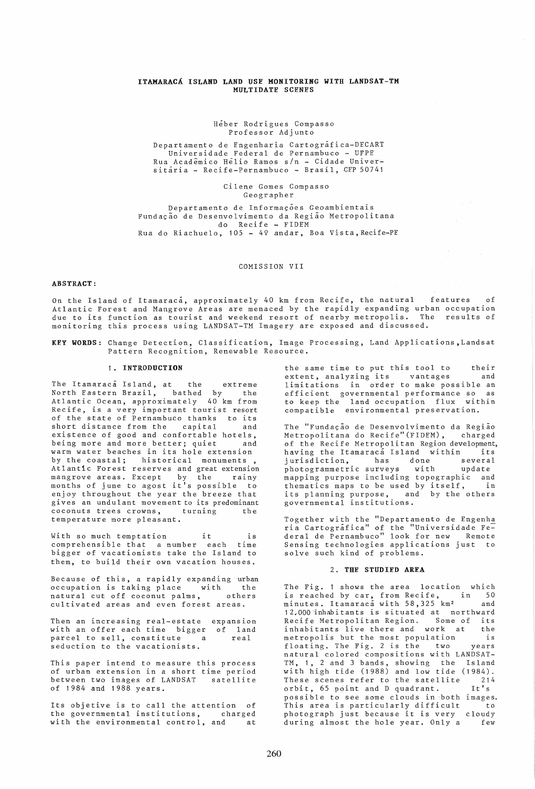# ITAKARACA ISLAND LAND USE MONITORING WITH LANDSAT-TM MULTIDATE SCENES

#### Heber Rodrigues Compasso Professor Adjunto

Departamento de Engenharia Cartografica-DECART Universidade Federal de Pernambuco - UFPE Rua Acadêmico He<sup>l</sup>io Ramos s/n - Cidade Universitária - Recife-Pernambuco - Brasil, CEP 50741

> Cilene Gomes Compasso Geographer

Departamento de Informações Geoambientais Fundação de Desenvolvimento da Região Metropolitana do Recife - FIDEM Rua do Riachuelo, 105 - 49 andar, Boa Vista,Recife-PE

## COMISSION VII

#### ABSTRACT:

On the Island of Itamaraca, approximately 40 km from Recife, the natural features of Atlantic Forest and Mangrove Areas are menaced by the rapidly expanding urban occupation due to its function as tourist and weekend resort of nearby metropolis. The results of monitoring this process using LANDSAT-TM Imagery are exposed and discussed.

KEY WORDS: Change Detection, Classification, Image Processing, Land Applications,Landsat Pattern Recognition, Renewable Resource.

### 1. INTRODUCTION

The Itamaraca<sup>T</sup> Island, at the extreme North Eastern Brazil, bathed by the Atlantic Ocean, approximately 40 km from Recife, is a very important tourist resort of the state of Pernambuco thanks to its short distance from the capital and existence of good and confortable hotels, being more and more better; quiet and warm water beaches in its hole extension by the coastal; historical monuments, Atlantic Forest reserves and great extension mangrove areas. Except by the rainy months of june to agost it's possible to enjoy throughout the year the breeze that gives an undulant movement to its predominant coconuts trees crowns, turning the temperature more pleasant.

With so much temptation it is comprehensible that a number each time bigger of vacationists take the Island to them, to build their own vacation houses.

Because of this, a rapidly expanding urban occupation is taking place with the natural cut off coconut palms, others cultivated areas and even forest areas.

Then an increasing real-estate expansion with an offer each time bigger of land parcel to sell, constitute a seduction to the vacationists. real

This paper intend to measure this process of urban extension in a short time period between two images of LANDSAT satellite of 1984 and 1988 years.

Its objetive is to call the attention of the governmental institutions, charged with the environmental control, and at

the same time to put this tool to their<br>extent, analyzing its vantages and extent, analyzing its vantages limitations in order to make possible an efficient governmental performance so as to keep the land occupation flux within compatible environmental preservation.

The "Fundação de Desenvolvimento da Região Metropolitana do Recife"(FIDEM), charged of the Recife Metropolitan Region development,<br>having the Itamaraca Island within its having the Itamaraca Island within its<br>jurisdiction, has done several jurisdiction, has done several photogrammetric surveys with update mapping purpose including topographic and mapping purpose including copographic and<br>thematics maps to be used by itself, in its planning purpose, and by the others governmental institutions.

Together with the "Departamento de Engenha ria Cartografica" of the "Universidade Fe= deral de Pernambuco" look for new Remote Sensing technologies applications just to solve such kind of problems.

### 2. THE STUDIED AREA

The Fig. 1 shows the area location which is reached by car, from Recife, in 50 minutes. Itamaraca with 58,325 km<sup>2</sup> and 12.-000'inhabitants is situated at northward Recife Metropolitan Region. Some of its inhabitants live there and work at the metropolis but the most population is floating, The Fig. 2 is the two years natural colored compositions with LANDSAT-TM, 1. 2 and 3 bands, showing the Island with high tide (1988) and low tide (1984). These scenes refer to the satellite 214<br>orbit, 65 point and D quadrant. It's  $orbit, 65$  point and D quadrant. possible to see some clouds in both images. This area is particularly difficult to photograph just because it is very cloudy during almost the hole year. Only a few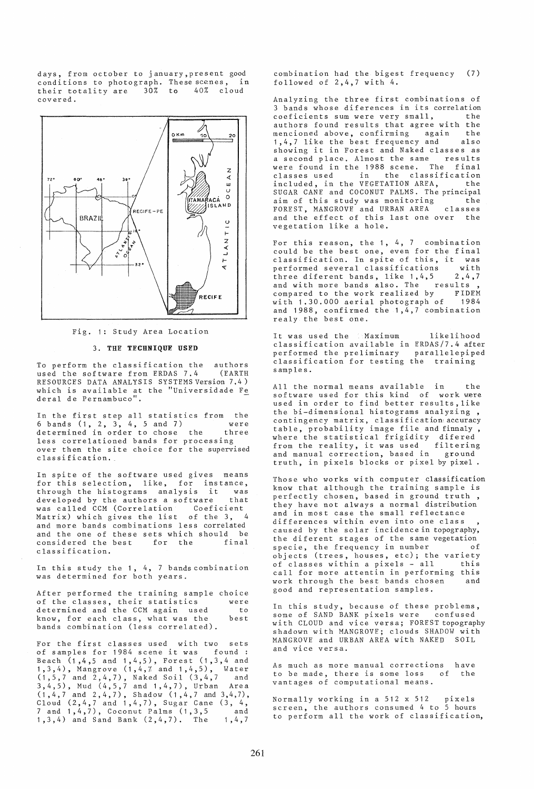days, from october to january,present good condi tions to photograph. These scenes, in their totality are 30% to 40% cloud their totality are<br>covered.



Fig. 1: Study Area Location

## 3. THE TECHNIQUE USED

To perform the classification the authors<br>used the software from ERDAS 7.4 (EARTH used the software from ERDAS 7.4 RESOURCES DATA ANALYSIS SYSTEMS Version 7.4 ) which is available at the "Universidade Fe deral de Pernambuco".

In the first step all statistics from the In the IIIst step and statistics from the<br>6 bands (1, 2, 3, 4, 5 and 7) were determined in order to chose the three less correlationed bands for processing over then the site choice for the supervised classification.

In spite of the software used gives means for this selection, like, for instance,<br>through the histograms analysis it was through the histograms analysis it was<br>developed by the authors a software that developed by the authors a software was called CCM (Correlation Coeficient Matrix) which gives the list of the 3, 4 and more bands combinations less correlated and the one of these sets which should be considered the best classification.

In this study the 1, 4, 7 bands combination was determined for both years.

After performed the training sample choice of the classes, their statistics determined and the CCM again used know, for each class, what was the bands combination (less correlated), were to best

For the first classes used with two sets<br>of samples for 1984 scene it was found: of samples for 1984 scene it was Beach  $(1,4,5$  and  $1,4,5)$ , Forest  $(1,3,4$  and 1,3,4), Mangrove  $(1,4,7$  and  $1,4,5)$ , Water  $(1,5,7 \text{ and } 2,4,7)$ , Naked Soil  $(3,4,7 \text{ and } 2,4,7)$  $3,4,5$ ), Mud  $(4,5,7 \text{ and } 1,4,7)$ , Urban Area  $(1,4,7 \text{ and } 2,4,7)$ , Shadow  $(1,4,7 \text{ and } 3,4,7)$ , Cloud  $(2, 4, 7 \text{ and } 1, 4, 7)$ , Sugar Cane  $(3, 4, 7 \text{)}$  $7$  and  $1, 4, 7$ , Coconut Palms  $(1, 3, 5$  and 7 and 1, 4, 7), Coconut Palms (1, 3, 5 and 1, 3, 4) and Sand Bank (2, 4, 7). The 1, 4, 7

combination had the bigest frequency (7) followed of 2,4,7 with 4.

Analyzing the three first combinations of 3 bands whose diferences in its correlation<br>coeficients sum were very small. the coeficients sum were very small, the<br>authors found results that agree with the authors found results that agree with the<br>mencioned above confirming again, the mencioned above, confirming again 1,4,7 like the best frequency and also showing it in Forest and Naked classes as a second place. Almost the same results were found in the 1988 scene. The final expect to the classification<br>classes used in the classification included, in the VEGETATION AREA, the SUGAR CANE and COCONUT PALMS. The principal<br>aim of this study was monitoring the aim of this study was monitoring the FOREST, MANGROVE and URBAN AREA classes FOREST, MANGROVE and URBAN AREA classes<br>and the effect of this last one over the vegetation like a hole.

For this reason, the 1, 4, 7 combination could be the best one, even for the final classification. In spite of this, it was<br>performed several classifications with performed several classifications with<br>three diferent bands, like 1,4,5 2,4,7 three diferent bands, like  $1, 4, 5$  2, 4,  $2, 4$ ,  $3, 7$  and with more bands also. The results and with more bands also. The results,<br>compared to the work realized by FIDEM compared to the work realized by FIDEM<br>with 1 30 000 aerial photograph of 1984 with 1.30.000 aerial photograph of and  $1988$ , confirmed the  $1,4,7$  combination realy the best one.

It was used the Maximum likelihood classification available in ERDAS/7.4 after performed the preliminary parallelepiped classification for testing the training s amp le s.

All the normal means available in the software used for this kind of work were used in order to find better results like the bi-dimensional histograms analyzing, contingency matrix, classification accuracy table, probability image file and finnaly , where the statistical frigidity difered where the statistical fligidity difered<br>from the reality, it was used filtering and manual correction, based in ground truth, in pixels blocks or pixel by pixel.

Those who works with computer classification know that although the training sample is perfectly chosen, based in ground truth , they have not always a normal distribution and in most case the small reflectance differences within even into one class caused by the solar incidence in topography, the diferent stages of the same vegetation<br>specie, the frequency in number of specie, the frequency in number  $objects$  (trees, houses, etc); the variety<br>of classes within a pixels - all this of classes within a pixels - all call for more attentin in performing this work through the best bands chosen good and representation samples.

In this study, because of these problems,<br>some of SAND BANK pixels were confused some of SAND BANK pixels were with CLOUD and vice versa; FOREST topography shadown with MANGROVE; clouds SHADOW with MANGROVE and URBAN AREA with NAKED SOIL and vice versa.

As much as more manual corrections have to be made, there is some loss of vantages of computational means. the

Normally working in a 512 x 512 pixels screen, the authors consumed 4 to 5 hours to perform all the work of classification,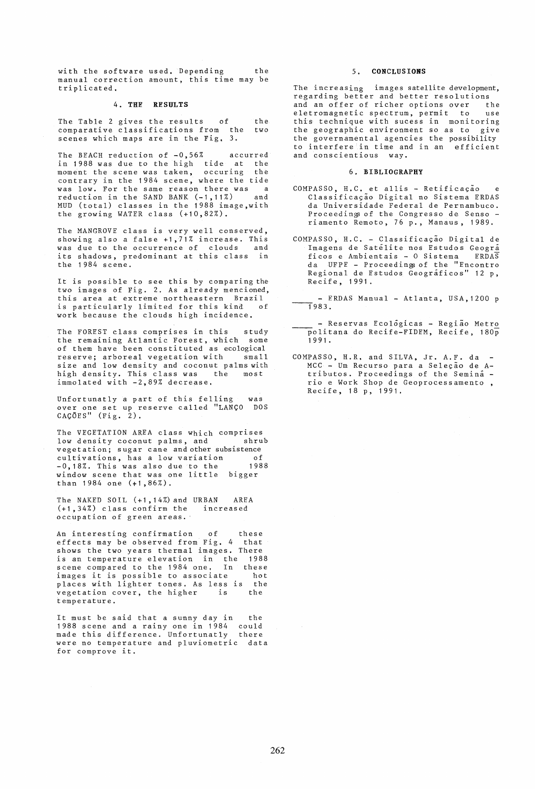with the software used. Depending the manual correction amount, this time may be triplicated.

### 4. THE RESULTS

The Table 2 gives the results of comparative classifications from the scenes which maps are in the Fig, 3. the two

The BFACH reduction of  $-0,56\%$  accurred<br>in 1988 was due to the high tide at the in 1988 was due to the high tide at the moment the scene was taken, occuring the contrary in the 1984 scene, where the tide was low. For the same reason there was a reduction in the SAND BANK (-1,11%) and MUD (total) classes in the 1988 image,with the growing WATER class (+10,82%).

The MANGROVE class is very well conserved, showing also a false  $+1$ ,  $71\%$  increase. This<br>was due to the occurrence of clouds and was due to the occurrence of clouds its shadows, predominant at this class in the 1984 scene.

It is possible to see this by comparing the two images of Fig. 2. As already mencioned, this area at extreme northeastern Brazil<br>is particularly limited for this kind of is particularly limited for this kind work because the clouds high incidence.

The FOREST class comprises in this study the remaining Atlantic Forest, which some of them have been constituted as ecological<br>reserve: arboreal vegetation with small reserve; arboreal vegetation with size and low density and coconut palms with<br>high density, This class was the most high density. This class was the immolated with -2,89% decrease.

Unfortunatly a part of this felling over one set up reserve called "LANCO over one set up reserve called "LANÇO –DOS<br>CAÇÕES" (Fig. 2). was

The VEGETATION AREA class which comprises<br>low density coconut palms, and shrub low density coconut palms, and vegetation; sugar cane and other subsistence cultivations, has a low variation of -0,18%. This was also due to the 1988 -0,18%. This was also due to the 1988<br>window scene that was one little bigger than 1984 one (+1,86%).

The NAKED SOIL (+1,14%) and URBAN AREA (+1,34%) class confirm the increased occupation of green areas.

An interesting confirmation of these<br>effects may be observed from Fig. 4 that effects may be observed from Fig.  $4$ shows the two years thermal images. There is an temperature elevation in the 1988 scene compared to the 1984 one, In these images it is possible to associate hot places with lighter tones. As less is vegetation cover, the higher is the temperature.

It must be said that a sunny day in 1988 scene and a rainy one in 1984 1988 scene and a rainy one in 1984 could<br>made this difference. Unfortunatly there were no temperature and pluviometric data for comprove it. the

### 5. CONCLUSIONS

The increasing images satellite development, regarding better and better resolutions<br>and an offer of richer ontions over the exerning<br>and an offer of richer options over the<br>eletromagnetic spectrum, permit to use eletromagnetic spectrum, permit to this technique with sucess in monitoring the geographic environment so as to give the governamental agencies the possibility to interfere in time and in an efficient and conscientious way.

#### 6. BIBLIOGRAPHY

- COMPASSO, H.C. et allis Retificação e Classificação Digital no Sistema ERDAS da Universidade Federal de Pernambuco. Proceedings of the Congresso de Senso riamento Remoto, 76 p., Manaus, 1989.
- COMPASSO, H.C. Classificacao Digital de Imagens de Satelite nos Estudos Geogra ficos e Ambientais - 0 Sistema ERDAS da UFPE - Proceeding; of the "Encontro Regional de Estudos Geograficos" 12 p, Recife, 1991.

- ERDAS Manual - Atlanta, USA, 1200 p  $-1983.$ 

- Reservas Ecologicas - Regiao Metro  $\overline{p}$ olitana do Recife-FIDEM, Recife, 180 $\overline{p}$ 1991 .

COMPASSO, H.R. and SILVA, Jr. A.F. da MCC - Um Recurso para a Seleção de Atributos. Proceedings of the Semina rio e Work Shop de Geoprocessamento , Recife, 18 p, 1991.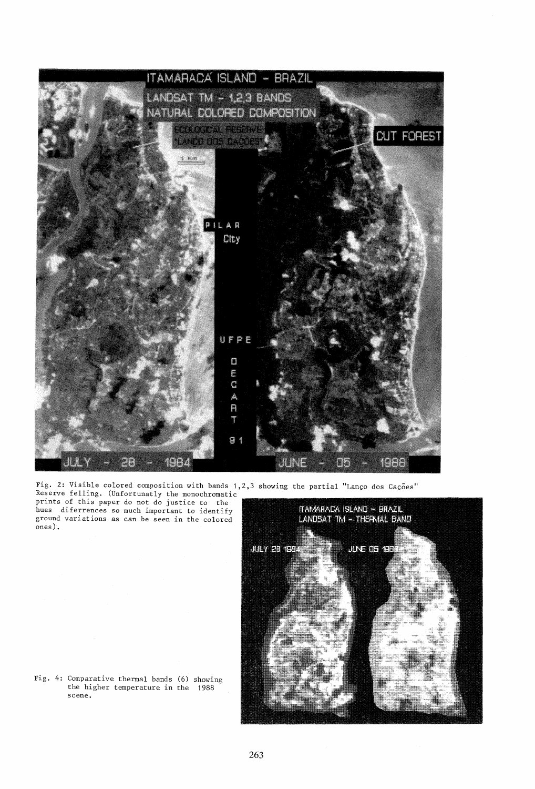

Fig. 2: Visible colored composition with bands 1,2,3 showing the partial "Lanco dos Cacoes" Reserve felling. (Unfortunatly the monochromatic prints of this paper do not do justice to the hues diferrences so much important to identify



Fig. 4: Comparative thermal bands (6) showing the higher temperature in the 1988 scene.

ground variations as can be seen in the colored

ones) .